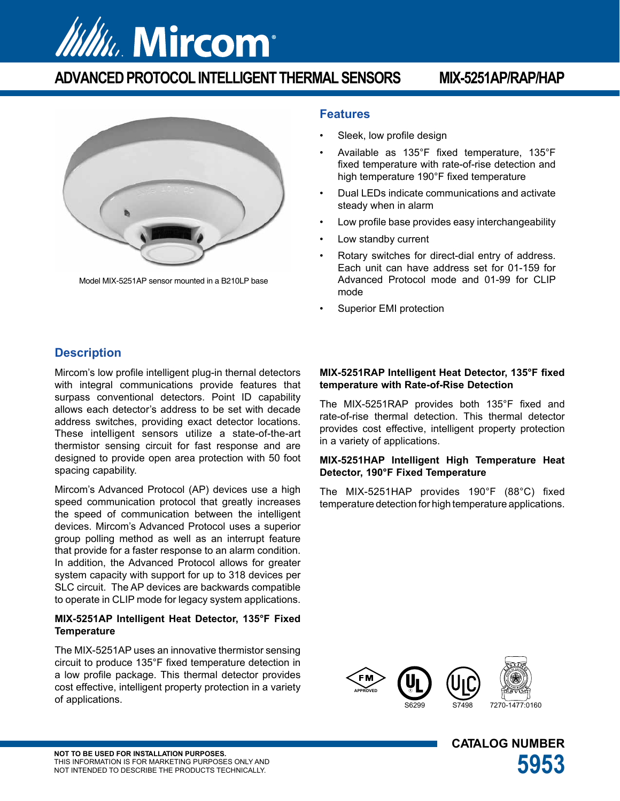

# **ADVANCED PROTOCOL INTELLIGENT THERMAL SENSORS MIX-5251AP/RAP/HAP**



Model MIX-5251AP sensor mounted in a B210LP base

### **Features**

- Sleek, low profile design
- Available as 135°F fixed temperature, 135°F fixed temperature with rate-of-rise detection and high temperature 190°F fixed temperature
- Dual LEDs indicate communications and activate steady when in alarm
- Low profile base provides easy interchangeability
- Low standby current
- Rotary switches for direct-dial entry of address. Each unit can have address set for 01-159 for Advanced Protocol mode and 01-99 for CLIP mode
- Superior EMI protection

## **Description**

Mircom's low profile intelligent plug-in thernal detectors with integral communications provide features that surpass conventional detectors. Point ID capability allows each detector's address to be set with decade address switches, providing exact detector locations. These intelligent sensors utilize a state-of-the-art thermistor sensing circuit for fast response and are designed to provide open area protection with 50 foot spacing capability.

Mircom's Advanced Protocol (AP) devices use a high speed communication protocol that greatly increases the speed of communication between the intelligent devices. Mircom's Advanced Protocol uses a superior group polling method as well as an interrupt feature that provide for a faster response to an alarm condition. In addition, the Advanced Protocol allows for greater system capacity with support for up to 318 devices per SLC circuit. The AP devices are backwards compatible to operate in CLIP mode for legacy system applications.

#### **MIX-5251AP Intelligent Heat Detector, 135°F Fixed Temperature**

The MIX-5251AP uses an innovative thermistor sensing circuit to produce 135°F fixed temperature detection in a low profile package. This thermal detector provides cost effective, intelligent property protection in a variety of applications.

#### **MIX-5251RAP Intelligent Heat Detector, 135°F fixed temperature with Rate-of-Rise Detection**

The MIX-5251RAP provides both 135°F fixed and rate-of-rise thermal detection. This thermal detector provides cost effective, intelligent property protection in a variety of applications.

#### **MIX-5251HAP Intelligent High Temperature Heat Detector, 190°F Fixed Temperature**

The MIX-5251HAP provides 190°F (88°C) fixed temperature detection for high temperature applications.